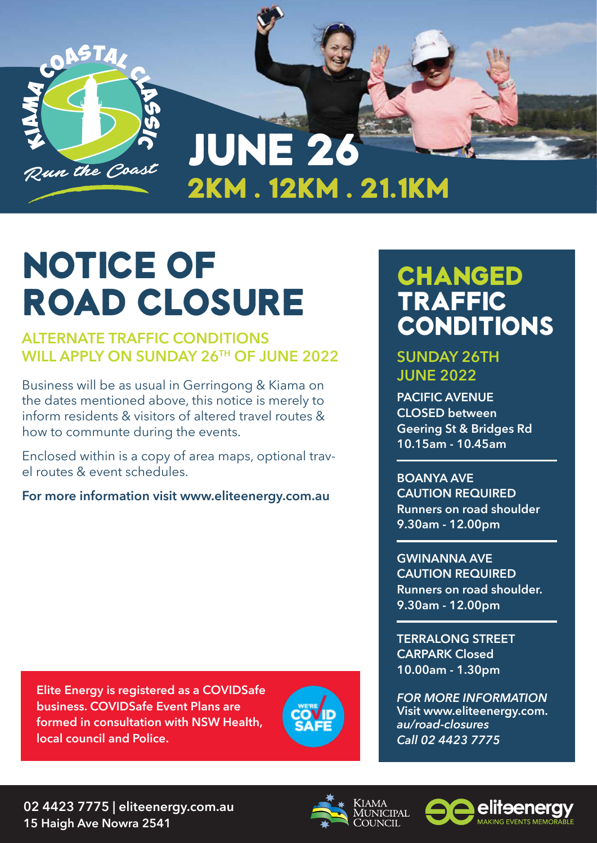

## NOTICE OF ROAD CLOSURE

#### **ALTERNATE TRAFFIC CONDITIONS WILL APPLY ON SUNDAY 26TH OF JUNE 2022**

Business will be as usual in Gerringong & Kiama on the dates mentioned above, this notice is merely to inform residents & visitors of altered travel routes & how to communte during the events.

Enclosed within is a copy of area maps, optional travel routes & event schedules.

**For more information visit www.eliteenergy.com.au**

## CHANGED TRAFFIC **CONDITIONS**

### **SUNDAY 26TH JUNE 2022**

**PACIFIC AVENUE CLOSED between Geering St & Bridges Rd 10.15am - 10.45am**

**BOANYA AVE CAUTION REQUIRED Runners on road shoulder 9.30am - 12.00pm**

**GWINANNA AVE CAUTION REQUIRED Runners on road shoulder. 9.30am - 12.00pm**

**TERRALONG STREET CARPARK Closed 10.00am - 1.30pm**

*FOR MORE INFORMATION* **Visit www.eliteenergy.com.** *au/road-closures Call 02 4423 7775*

**Elite Energy is registered as a COVIDSafe business. COVIDSafe Event Plans are formed in consultation with NSW Health, local council and Police.**